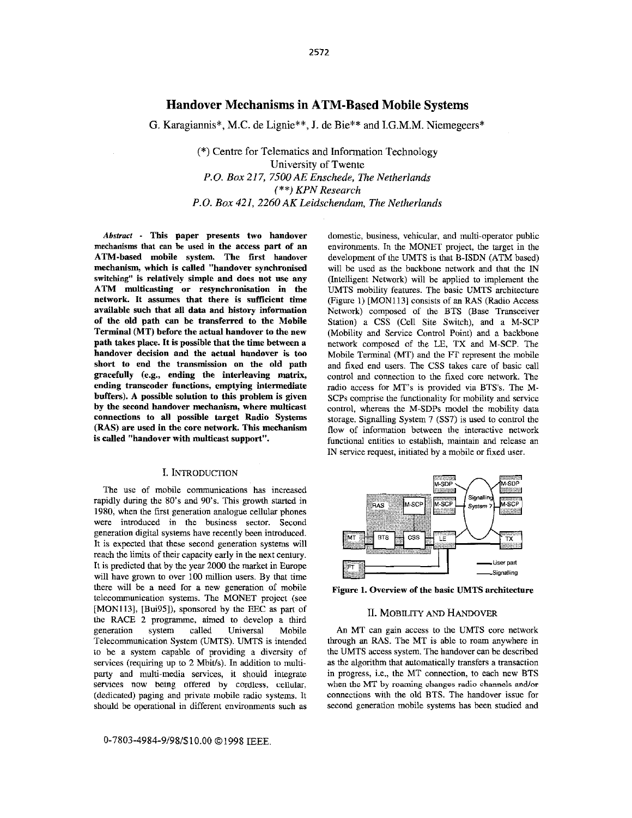# Handover Mechanisms in ATM-Based Mobile Systems

G. Karagiannis\*, M.C. de Lignie\*\*, **J.** de Bie\*\* and I.G.M.M. Niemegeers\*

(\*) Centre for Telematics and Information Technology University of Twente *P.O. Box 217, 7500 AE Enschede, The Netherlands*  (\*\*) *KPN Research P.O. Box 421. 2260AK Leidschendam. The Netherlands* 

Abstract - This paper presents two handover mechanisms that can he used in the access part of an ATM-based mobile system. The first handover mechanism, which is called "handover synchronised switching" is relatively simple and does not use any ATM multicasting or resynchronisation in the network. It assumes that there is sufficient time available **such** that all data and history information of the old path can be transferred **to** the Mobile Terminal (MT) before the actual handover to the new path takes place. It is possible that the time between a handover decision and the actual handover is too short to end the transmission on the old path gracefully (e.g., ending the interleaving matrix, ending transcoder functions, emptying intermediate buffers). A possible solution to this problem is given **by** the second handover mechanism, where multicast connections to all possible target Radio Systems (RAS) are used in the core network. This mechanism is called "handover with multicast support".

## I. INTRODUCTION

The **use** of mobile communications has increased rapidly during the So's and 90's. This growth started in 1980, when the first generation analogue cellular phones were introduced in the business sector. Second generation digital systems have recently been introduced. It is expected that these second generation systems will reach the limits of their capacity early in the next century. It is predicted that by the year 2000 the market in Europe will have grown to over 100 million users. By that time there will he a need for a new generation of mobile telecommunication systems. The MONET project (see [MON113], [Bui95]), sponsored by the EEC as part of the RACE 2 programme, aimed to develop a third generation system called Universal Mobile Telecommunication System (UMTS). UMTS is intended to he a system capable of providing a diversity of services (requiring up to 2 **Mbit/s).** In addition to multiparty and multi-media services, it should integrate services now being offered by cordless, cellular, (dedicated) paging and private mobile radio systems. It should be operational in different environments such as

*0-7803-4984-9/98/\$10.00 0 1998* IEEE.

domestic, business, vehicular, and multi-operator public environments. In the MONET project, the target in the development of the UMTS is that B-ISDN (ATM based) will be used as the backbone network and that the IN (Intelligent Network) will be applied to implement the UMTS mobility features. The basic UMTS architecture (Figure 1) [MON113] consists of an RAS (Radio Access Network) composed of the BTS (Base Transceiver Station) a CSS (Cell Site Switch), and a M-SCP (Mobility and Service Control Point) and a backbone network composed of the LE, TX and M-SCP. The Mobile Terminal (MT) and the FT represent the mobile and fixed end users. The CSS takes care of basic call control and connection to the fixed core network. The radio access for MT's is provided via BTS's. The M-SCPs comprise the functionality for mobility and service control, whereas the M-SDPs model the mobility data storage. Signalling System 7 *(SS7)* **is used** to control the flow of information between the interactive network functional entities to establish, maintain and release an IN service request, initiated by a mobile or fixed user.



Figure **1.** Overview of the basic UMTS architecture

#### n. MOBILITY AND **HANDOVER**

*An* MT can gain access to the UMTS core network through an RAS. The MT is able to roam anywhere in the UMTS access system. The handover can be described as the algorithm that automatically transfers a transaction in progress, i.e., the MT connection, to each new BTS connections witb the old BTS. The handover issue for second generation mobile systems has been studied and when **tho** MT **by roaming** changes **radio** channels **andot**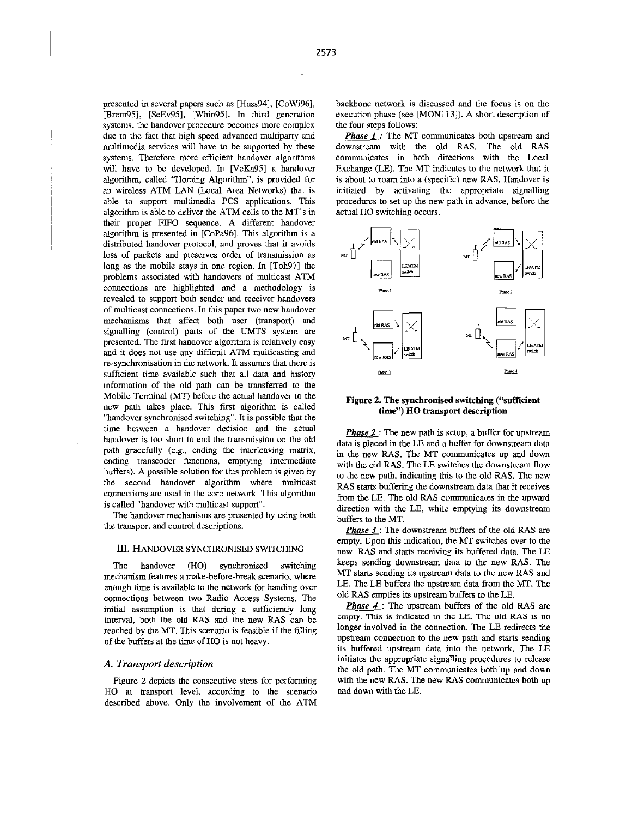presented in several papers such as [Huss94], [CoWi96], [Brem95], [SeEv95], [Whin95]. In third generation systems, the handover procedure becomes more complex due to the fact that high speed advanced multiparty and multimedia services will have to be supported by these systems. Therefore more efficient handover algorithms will have to be developed. In [VeKa95] a handover algorithm, called "Homing Algorithm", is provided for an wireless ATM LAN (Local Area Networks) that is able to support multimedia PCS applications. This algorithm is able to deliver the ATM cells to the MT's in their proper FIFO sequence. A different handover algorithm is presented in [CoPa96]. This algorithm is a distributed handover protocol, and proves that it avoids loss of packets and preserves order of transmission as long as the mobile stays in one region. In [Toh97] the problems associated with handovers of multicast ATM connections are highlighted and a methodology is revealed to support both sender and receiver handovers of multicast connections. In **this** paper two new handover mechanisms that affect both user (transport) and signalling (control) **parts** of the UMTS system are presented. The first handover algorithm is relatively easy and it does not use any difficult ATM multicasting and re-synchronisation in the network. It assumes that there is sufficient time available such that all data and history information of the old path can be transferred to the Mobile Terminal (MT) before the actual handover to the new path takes place. This frst algorithm is called "handover synchronised switching". It is possible that the time between a handover decision and the actual handover is too short to end the transmission on the old path gracefully (e.g., ending the interleaving matrix, ending transcoder functions, emptying intermediate buffers). **A** possible solution for this problem is given by the second handover algorithm where multicast connections are **used** in the core network. This algorithm is called "handover with multicast support".

The handover mechanisms are presented by using both the transport and control descriptions.

#### III. HANDOVER SYNCHRONISED SWITCHING

The handover (HO) synchronised switching mechanism features a make-before-break scenario, where enough time is available to the network for handing over connections between two Radio Access Systems. The initial assumption is that during a sufficiently long interval, both the old **RAS** and the new **RAS** can be reached by the MT. This scenario is feasible if the filling of the buffers at the time of HO is not heavy.

## *A. Transport description*

Figure 2 depicts the consecutive steps for performing HO at transport level, according to the scenario described above. Only the involvement of the ATM backbone network is discussed and the focus is on the execution phase (see [MON113]). A short description of the four steps follows:

*Phase I*: The MT communicates both upstream and downstream with the old RAS. The old RAS communicates in both directions with the Local Exchange (LE). The MT indicates to the network that it is about to roam into a (specific) new RAS. Handover is initiated by activating the appropriate signalling procedures to set up the new path in advance, before the actual HO switching occurs.



#### **Figure 2. The synchronised switching ("sufficient time") HO transport description**

*Phase* 2 : The new path is setup, a buffer for upstream data is placed in the LE and a buffer for downstream data in the new RAS. The MT communicales **up** and down with the old RAS. The LE switches the downstream flow to the new path, indicating this to the old RAS. The new RAS **starts** buffering the downstream data that it receives from the LE. The old RAS communicates in the upward direction with the LE, while emptying its downstream buffers to the MT.

*Phase* **3** : The downstream buffers of the old RAS are empty. Upon this indication, the MT switches over to the new RAS and **starts** receiving its buffered data. The LE keeps sending downstream data to the new RAS. The MT **starts** sending its upstream data to the new RAS and LE. The LE buffers the upstream data from the MT. The old **RAS** empties its upstream buffers to the LE.

*Phase 4* : The upstream buffers of the old RAS are empty. This **is** indicated to Ihe **LE.** The old **RAS** is no longer involved in the connection. The LE redirects the upstream connection to the new path and starts sending its buffered upstream data into the network. The LE initiates the appropriate signalling procedures to release the old path. The MT communicates both **up** and down with the new RAS. The new RAS communicates both up and down with the LE.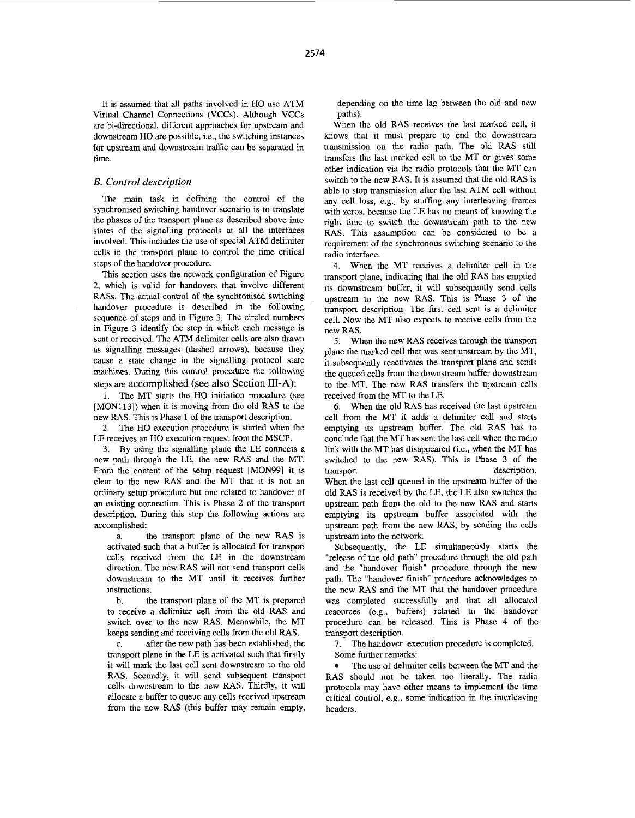It is assumed that all paths involved in HO use ATM Virtual Channel Connections (VCCs). Although VCCs are hi-directional, different approaches for upstream and downstream HO are possible, i.e., the switching instances for upstream and downstream traffic can he separated in time.

## *B. Control description*

The main task in defining the control of the synchronised switching handover scenario is to translate the phases of the transport plane as described above into states of the signalling protocols at all the interfaces involved. This includes the use of special ATM delimiter cells in the transport plane to control the time critical steps of the handover procedure.

This section **uses** the network configuration of Figure 2, which is valid for handovers that involve different **RASs.** The actual control of the synchronised switching handover procedure is described in the following sequence of steps and in [Figure 3.](#page-3-0) The circled numbers in [Figure 3](#page-3-0) identify the step in which each message is sent or received. The ATM delimiter cells are also drawn as signalling messages (dashed arrows), because they cause a state change in the signalling protocol state machines, During this control procedure the following steps are accomplished (see also Section **III-A):** 

1. The MT starts the HO initiation procedure (see [MON113]) when it is moving from the old RAS to the new RAS. This is Phase **1** of the transport description.

2. The HO execution procedure is started when the LE receives an HO execution request from the MSCP.

By using the signalling plane the LE connects a 3. new path through the LE, the new **RAS** and the MT. From the content of the setup request [MON99] it is clear to the new RAS and the MT that it is not an ordinary setup procedure but one related to handover of an existing connection. This is Phase 2 of the transport description. During this step the following actions are accomplished:

a. the transport plane of the new RAS is activated such that a buffer is allocated for transport cells received from the LE in the downstream direction. The new RAS will not send transport cells downstream to the MT until it receives further instructions.

the transport plane of the MT is prepared to receive a delimiter cell from the old RAS and switch over to the new **RAS.** Meanwhile, the MT keeps sending and receiving cells from the old **RAS.**  b.

after the new path has been established, the transport plane in the LE is activated such that firstly it will mark the last cell sent downstream to the old RAS. Secondly, it will send subsequent transport cells downstream to the new RAS. Thirdly, it will allocate a buffer to queue any cells received upstream from the new RAS (this buffer may remain empty, c.

depending on the time lag between the old and new paths).

When the old RAS receives the last marked cell, it knows that it must prepare to end the downstream transmission on the radio path. The old RAS still transfers the last marked cell to the MT or gives some other indication via the radio protocols that the MT can switch to the new **RAS. It** is assumed that the old RAS is able to stop transmission after the last ATM cell without any cell loss, e.g., by stuffing any interleaving frames with zeros, because the LE has no means of knowing the right time to switch the downstream path to **the** new RAS. This assumption can he considered to be a requirement of the synchronous switching scenario to the radio interface.

When the MT receives a delimiter cell in the 4. transport plane, indicating that the old **RAS** has emptied its downstream buffer, it will subsequently send cells upstream to the new RAS. **This** is Phase 3 of the transport description. The first cell sent is a delimiter cell. Now the MT also expects to receive cells from the new RAS.

When the new RAS receives through the transport 5. plane the marked cell that was sent upstream by the MT, it subsequently reactivates the transport plane and sends the queued cells from the downstream buffer downstream to the MT. The new RAS transfers the upstream cells received from the MT to the LE.

When the old RAS has received the last upstream 6. cell from the MT it adds a delimiter cell and starts emptying its upstream buffer. The old RAS has to conclude that the MT has sent the last cell when the radio link with the MT has disappeared (i.e., when the MT has switched to the new RAS). This is Phase 3 of the transport description. When the last cell queued in the upstream buffer of the old RAS is received by the LE, the LE also switches the upstream path from the old to the new RAS and starts emptying its upstream buffer associated with the upstream path from the new RAS, by sending the cells upstream into the network.

Subsequently, the LE simultaneously starts the "release of the old path" procedure through the old path and the "handover finish" procedure through the new path. The "handover finish" procedure acknowledges to the new RAS and the MT that the handover procedure was completed successfully and that all allocated resources (e.g., buffers) related to the handover procedure can be released. This is Phase 4 of the transport description.

*I.*  The handover execution procedure **is** completed. Some further remarks:

The use of delimiter cells between the MT and the RAS should not be taken too literally. The radio protocols may have other means to implement the time critical control, e.g., some indication in the interleaving headers.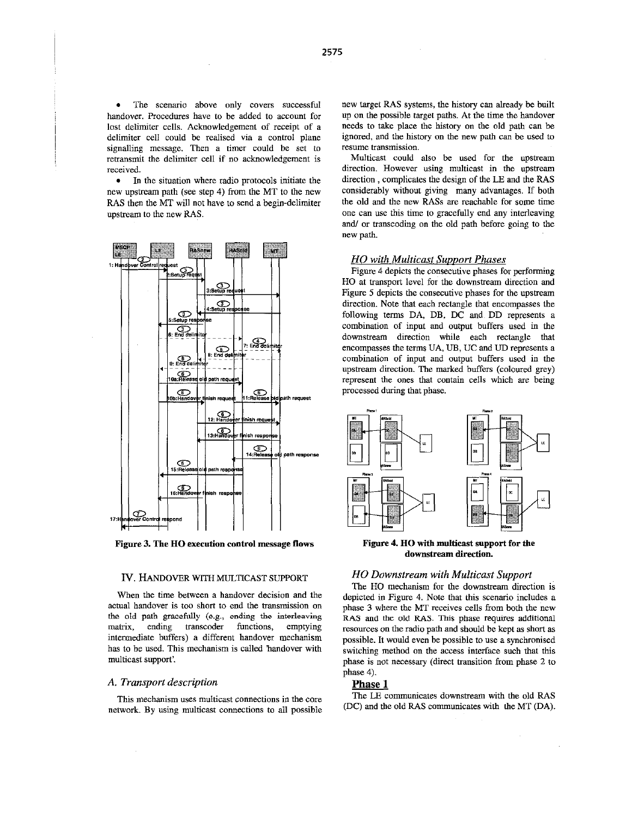<span id="page-3-0"></span>The scenario above only covers successful handover. Procedures have to be added to account for lost delimiter cells. Acknowledgement of receipt of a delimiter cell could he realised via a control plane signalling message. Then a timer could be set to retransmit the delimiter cell if no acknowledgement is received.

 $\bullet$ In the situation where radio protocols initiate the new upstream **path** (see step 4) from the MT to the new **RAS** then the MT will not have to send a begin-delimiter upstream to the new RAS.



**Figure 3. The HO execution control message flows** 

#### **IV. HANDOVER WITH MULTICAST SUPPORT**

When the time between a handover decision and the actual handover is too short to end the transmission on the old path gracefully **(e.g.. ending the interleaving**  matrix, ending transcoder functions, emptying intermediate buffers) a different handover mechanism has to he used. This mechanism is called handover with multicast support'.

## *A. Transport description*

**This** mechanism uses multicast connections in the core network. By using multicast connections to all possible new target **RAS** systems, the history can already be built up on the possible target paths. At the time the handover needs to take place the history on the old path can he ignored, and the history on the new path can be used to resume transmission.

Multicast could also be used for the upstream direction. However using multicast in the upstream direction , complicates the design of the LE and the RAS considerably without giving many advantages. If both the old and the new **RASs** are reachable for some time one can use this time to gracefully end any interleaving *and/* or transcoding on the old path before going to the new path.

## *HO with Multicast Support Phases*

Figure 4 depicts the consecutive phases for performing HO at transport level for the downstream direction and Figure 5 depicts the consecutive phases for the upstream direction. Note that each rectangle that encompasses the following terms DA, DB, DC and DD represents a combination of input and output buffers used in the downstream direction while each rectangle that encompasses the terms UA, UB, UC and UD represents a combination of input and output buffers used in the upstream direction. The marked buffers (coloured grey) represent the ones that contain cells which are being processed during that phase.



**Figure 4. HO with multicast support for** *the*  **downstream direction.** 

## *HO Downstream with Multicast Support*

The HO mechanism for the downstream direction is depicted in Figure 4. Note that this scenario includes a phase **3** where the MT receives cells from both the new **RAS** and the **old RAS. This** phase requnes additional resources on the radio path and should be kept as short as possible. It would even be possible to use a synchronised switching method on the access interface such that this phase is not necessary (direct transition from phase 2 to phase 4).

## **Phase 1**

The LE communicates downstream with the old **RAS**  (DC) and the old **RAS** communicates with the MT (DA).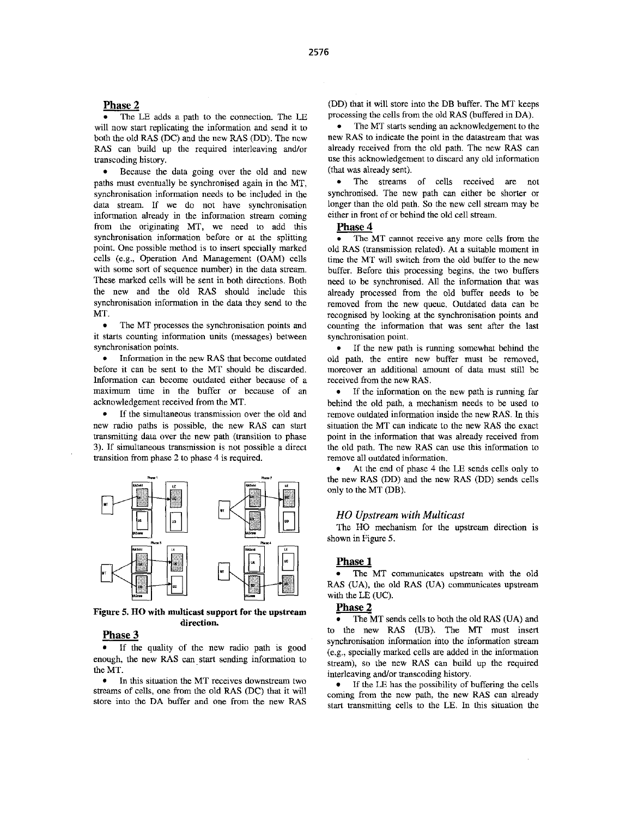#### <span id="page-4-0"></span>**Phase 2**

Because the data going over the old and new paths must eventually he synchronised again in the MT, synchronisation information needs to be included in the data stream. If we do not have synchronisation information already in the information stream coming from the originating MT, we need to add this synchronisation information before or at the splitting point. One possible method **is** to insert specially marked cells (e.g., Operation And Management (OAM) cells with some **sort** of sequence number) in the data stream. These marked cells will be sent in both directions. Both the new and the old RAS should include this synchronisation information in the data they send to the MT.

 $\bullet$ The MT processes the synchronisation points and it **starts** counting information units (messages) between synchronisation points.

• Information in the new RAS that become outdated before it can he sent to the MT should be discarded. Information can become outdated either because of a maximum time in the buffer or because of an acknowledgement received from the MT.

• If the simultaneous transmission over the old and new radio paths **is** possible, the new RAS can start transmitting data over the new path (transition to phase **3).** If simultaneous transmission is not possible a direct transition from phase 2 to phase 4 **is** required.



**[Figure](#page-3-0) 5. HO with multicast support for the upstream direction.** 

## **Phase 3**

If the quality of the new radio path is good enough, the new RAS can start sending information to the MT.

• In this situation the MT receives downstream two streams of cells, one from the old RAS (DC) that it will store into the DA buffer and one from the new RAS

(DD) that it will store into the DB buffer. The MT keeps processing the cells from the old RAS (buffered in DA).

The MT **starts** sending an acknowledgement to the new **RAS** to indicate the point in the datastream that was already received from the old path. The new RAS can **use** this acknowledgement to discard any old information (that was already sent).

 $\bullet$ The streams of cells received are not synchronised. The new path can either be shorter or longer than the old path. So the new cell stream may he either in front of or behind the old cell stream.

#### **Phase 4**

The MT cannot receive any more cells from the old RAS (transmission related). At a suitable moment in time the MT will switch from the old buffer to the new buffer. Before this processing begins, the two buffers need to be synchronised. All the information that was already processed from the old buffer needs to be removed from the new queue. Outdated data can he recognised by looking at the synchronisation points and counting the information that was sent after the last synchronisation point.

If the new path is running somewhat behind the old path, the entire new buffer must be removed, moreover an additional amount of data must still be received from the new RAS.

• If the information on the new path is running far behind the old path, a mechanism needs to be used to remove outdated information inside the new RAS. In this situation the MT can indicate to the new RAS the exact point in the information that was already received from the old path. The new RAS can **use** this information to remove all outdated information.

At the end of phase 4 the LE sends cells only to the new RAS (DD) and the new RAS (DD) sends cells only to the MT (DB).

#### *HO Upstream with Multicast*

The HO mechanism for the upstream direction **is**  shown in [Figure](#page-3-0) *5.* 

#### **Phase 1**

The MT communicates upstream with the old  $\bullet$ **RAS** (UA), the old RAS (UA) communicates upstream with the LE (UC).

### **Phase 2**

The MT sends cells to both the old RAS (UA) and to the new RAS (UB). The MT must insert synchronisation information into the information stream (e.g., specially marked cells are added in the information stream), **so** the new RAS can build up the required interleaving and/or transcoding history.

**If** the LE has the possibility of buffering the cells coming from the new path, the new RAS can already start transmitting cells to the LE. In this situation the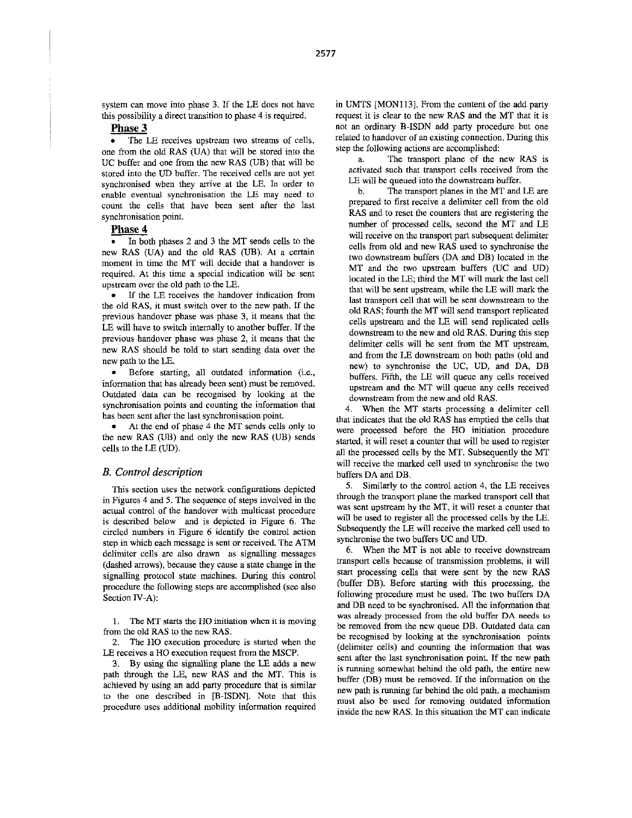system can move into phase 3. If the LE does not have this possibility a direct transition to phase 4 is required.

## **Phase 3**

The LE receives upstream two streams of cells, one from the old RAS (UA) that will be stored into the UC buffer and one from the new **RAS** (UB) that will be stored into the UD buffer. The received cells are not yet synchronised when they arrive at the LE. In order to enable eventual synchronisation the LE may need to count the cells that have been sent after the last synchronisation point.

**Phase 4**<br>**•** In both phases 2 and 3 the MT sends cells to the new RAS (UA) and the old RAS (UB). At a certain moment in time the MT will decide that a handover is required. At this time a special indication will be sent upstream over the old path to the LE.

If the LE receives the handover indication from the old RAS, it must switch over to the new path. If the previous handover phase was phase 3, it means that the LE will have to switch internally to another buffer. If the previous handover phase was phase **2,** it means that the new RAS should be told to start sending data over the new path to the LE.

Before starting, all outdated information (i.e., information that has already been sent) must be removed. Outdated data can be recognised by looking at the synchronisation points and counting the information that bas been sent after the last synchronisation point.

At the end of phase 4 the MT sends cells only to the new RAS (UB) and only the new RAS (UB) sends cells to the LE (UD).

#### *B. Control description*

This section uses the network configurations depicted in [Figures](#page-3-0) **4** and 5. The sequence of steps involved in the actual control of the handover with multicast procedure is described below and is depicted in [Figure 6.](#page-6-0) The circled numbers in [Figure 6](#page-6-0) identify the control action step in which each message **is** sent or received. The ATM delimiter cells are also drawn as signalling messages (dashed arrows), because they cause a state change in the signalling protocol state machines. During this control procedure the following steps are accomplished (see also Section IV-A):

**1.**  The MT starts the HO initiation when it **is** moving from the old RAS to the new **RAS.** 

*2.*  The HO execution procedure **is** started when the LE receives a HO execution request from the MSCP.

3. By using the signalling plane the LE adds a new path through the LE, new RAS and the MT. This is achieved by using an add **party** procedure that is similar to the one described in [B-ISDNj. Note that this procedure uses additional mobility information required in UMTS [MON113]. From the content of the add party request it is clear to the new RAS and the MT that it **is**  not an ordinary B-ISDN add **party** procedure but one related to bandover of an existing connection. During this step the following actions are accomplished:

The transport plane of the new RAS **is**  activated such that transport cells received from the LE will be queued into the downstream buffer. a.

The transport planes in the MT and LE are prepared to first receive a delimiter cell from the old RAS and to reset the counters that are registering the number of processed cells, second the MT and LE will receive on the transport part subsequent delimiter cells from old and new RAS used to synchronise the two downstream buffers (DA and DB) located in the MT and the two upstream buffers (UC and UD) located in the LE, third the MT will mark the last cell that will be sent upstream, while the LE will mark the last transport cell that will be sent downstream to the old RAS; fourth the MT will send transport replicated cells upstream and the LE will send replicated cells downstream to the new and old **RAS.** During this step delimiter cells will be sent from the MT upstream, and from the LE downstream on both paths (old and new) to synchronise the UC, UD, and DA, DB buffers. Fifth, the LE will queue any cells received upstream and the MT will queue any cells received downstream from the new and old RAS. b.

When the MT **starts** processing a delimiter cell 4. that indicates that the old RAS has emptied the cells that were processed before the HO initiation procedure started, it will reset a counter that will he used to register all the processed cells by the MT. Subsequently the MT will receive the marked cell used to synchronise the two buffers DA and DB.

Similarly to the control action 4, the LE receives 5. through the transport plane the marked transport cell that was sent upstream by the MT, it will reset a counter that will be used to register all the processed cells by the LE. Subsequently the LE will receive the marked cell used to synchronise the two buffers UC and UD.

When the MT **is** not able to receive downstream 6. transport cells because of transmission problems, it will **start** processing cells that were sent by the new RAS (buffer DB). Before starting with this processing, the following procedure must be used. The two buffers DA and DB need to be synchronised. All the information that was already processed from the old buffer **DA** needs to be removed from the new queue DB. Outdated data can be recognised by looking at the synchronisation points (delimiter cells) and counting the information that was sent after the last synchronisation point. If the new path is running somewhat behind the old path, the entire new buffer (DB) must be removed. **If** the information on the new path is running far behind the old path, a mechanism must also be used for removing outdated information inside the new RAS. In this situation the MT can indicate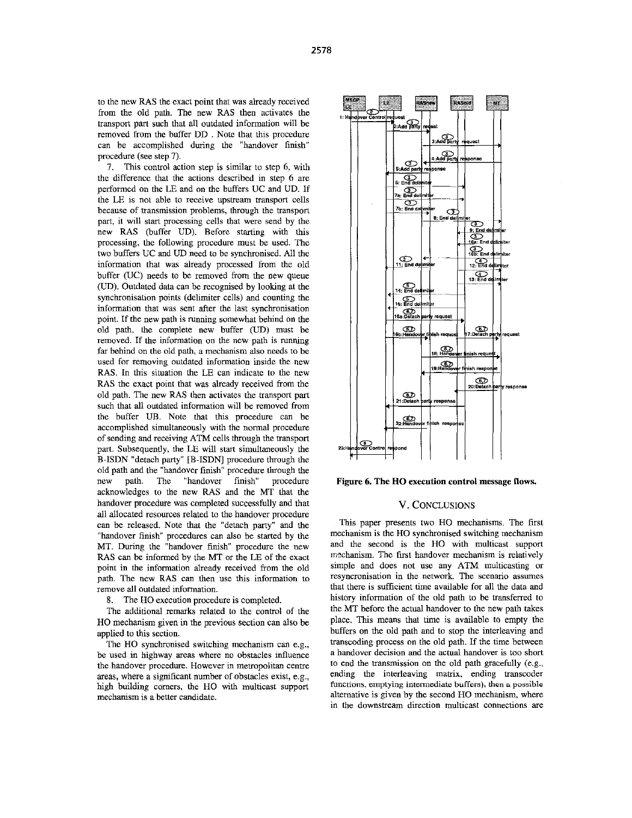<span id="page-6-0"></span>to the new RAS the exact point that was already received from the old path. The new RAS then activates the transport part such that all outdated information will be removed from the buffer DD , Note that this procedure can be accomplished during the "handover finish" procedure (see step 7).

7. This control action step is similar to step 6, with the difference that the actions described in step 6 are performed on the LE and on the buffers UC and UD. If the LE is not able to receive upstream transport cells because of transmission problems, through the transpon part, it will start processing cells that were send by the new RAS (buffer UD). Before starting with this processing, the following procedure must he used. The two buffers UC and UD need to be synchronised. All the information that was already processed from the old buffer (UC) needs to be removed from the new queue (UD). Outdated data can be recognised by looking at the synchronisation points (delimiter cells) and counting the information that was sent after the last synchronisation point. If the new path is running somewhat behind on the old path, the complete new buffer (UD) must be removed. If the information on the new path **is** running far behind on the old path, a mechanism also needs to be used for removing outdated information inside the new RAS. In this situation the LE can indicate to the new RAS the exact point that was already received from the old path. The new RAS then activates the transport part such that all outdated information will be removed from the buffer UB. Note that this procedure can he accomplished simultaneously with the normal procedure of sending and receiving ATM cells through the transport part. Subsequently, the LE will **start** simultaneously the B-ISDN "detach party" [B-ISDN] procedure through the old path and the "handover finish" procedure through the new path. The "handover finish" procedure acknowledges to the new RAS and the MT that the handover procedure was completed successfully and that all allocated resources related to the handover procedure can be released. Note that the "detach **party"** and the "handover finish" procedures can also be started by the MT. During the "handover finish" procedure the new **RAS** can be informed by the MT or the LE of the exact point in the information already received from the old path. The ncw RAS can then use this information to remove all outdated information.

8. The HO execution procedure **is** completed.

The additional remarks related to the control of the HO mechanism given in the previous section can also he applied **to** this section.

The HO synchronised switching mechanism can e.g., he used in highway areas where no obstacles influence the handover procedure. However in metropolitan centre areas, where a significant number of obstacles exist, e.g., high building comers, the HO with multicast support mechanism **is** a better candidate.



**Figure 6. The HO execution control message flows.** 

## **V.** CONCLUSIONS

This paper presents two HO mechanisms. The first mechanism is the HO synchronised switching mechanism and the second is the HO with multicast support mechanism. The first handover mechanism is relatively simple and does not use any ATM multicasting or resyncronisation in the network. The scenano assumes that there is sufficient time available for all the data and history information of the old path to be transferred to the MT before the actual handover to the new path takes place. This means that time is available to empty the buffers on the old path and to stop the interleaving and transcoding process on the old path. If the time between a handover decision and the actual handover is too short **to** end the transmission on the old path gracefully (e.g., ending the interleaving matrix, ending transcoder functions, emptying intermediate buffers), then a possible alternative is given by the second HO mechanism, where in the downstream direction multicast connections are